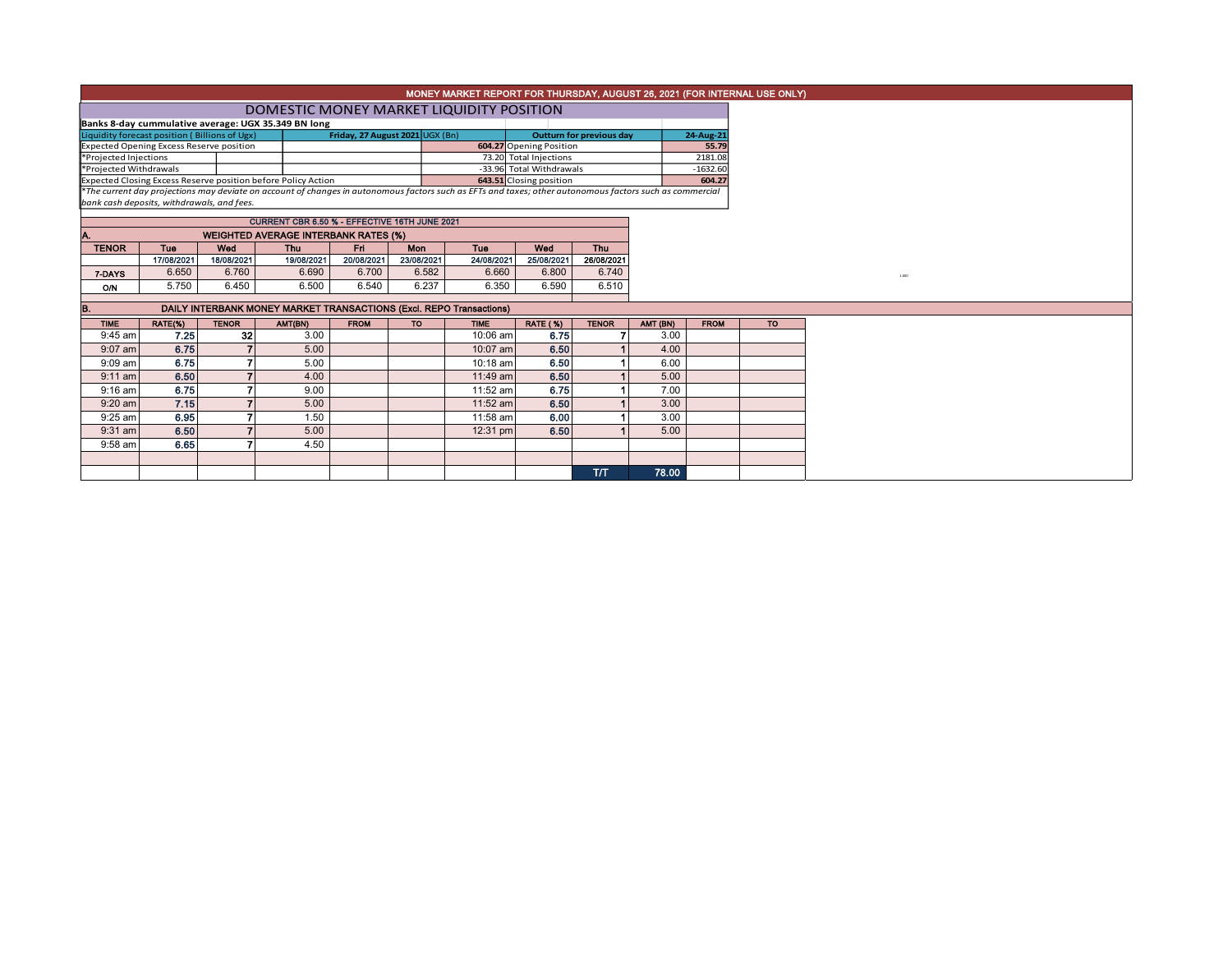| MONEY MARKET REPORT FOR THURSDAY, AUGUST 26, 2021 (FOR INTERNAL USE ONLY)                                                                                                                              |                                                                                                 |              |                                                                     |                                 |            |             |                          |                                                            |          |                    |           |  |  |
|--------------------------------------------------------------------------------------------------------------------------------------------------------------------------------------------------------|-------------------------------------------------------------------------------------------------|--------------|---------------------------------------------------------------------|---------------------------------|------------|-------------|--------------------------|------------------------------------------------------------|----------|--------------------|-----------|--|--|
|                                                                                                                                                                                                        |                                                                                                 |              |                                                                     |                                 |            |             |                          |                                                            |          |                    |           |  |  |
|                                                                                                                                                                                                        | DOMESTIC MONEY MARKET LIQUIDITY POSITION<br>Banks 8-day cummulative average: UGX 35.349 BN long |              |                                                                     |                                 |            |             |                          |                                                            |          |                    |           |  |  |
|                                                                                                                                                                                                        |                                                                                                 |              |                                                                     |                                 |            |             |                          |                                                            |          |                    |           |  |  |
|                                                                                                                                                                                                        | Liquidity forecast position (Billions of Ugx)                                                   |              |                                                                     | Friday, 27 August 2021 UGX (Bn) |            |             |                          | <b>Outturn for previous day</b><br>604.27 Opening Position |          | 24-Aug-21<br>55.79 |           |  |  |
|                                                                                                                                                                                                        | <b>Expected Opening Excess Reserve position</b>                                                 |              |                                                                     |                                 |            |             | 73.20 Total Injections   |                                                            |          | 2181.08            |           |  |  |
| *Projected Injections<br>*Projected Withdrawals                                                                                                                                                        |                                                                                                 |              |                                                                     |                                 |            |             | -33.96 Total Withdrawals |                                                            |          | $-1632.60$         |           |  |  |
|                                                                                                                                                                                                        |                                                                                                 |              | Expected Closing Excess Reserve position before Policy Action       |                                 |            |             | 643.51 Closing position  |                                                            |          | 604.27             |           |  |  |
|                                                                                                                                                                                                        |                                                                                                 |              |                                                                     |                                 |            |             |                          |                                                            |          |                    |           |  |  |
| *The current day projections may deviate on account of changes in autonomous factors such as EFTs and taxes; other autonomous factors such as commercial<br>bank cash deposits, withdrawals, and fees. |                                                                                                 |              |                                                                     |                                 |            |             |                          |                                                            |          |                    |           |  |  |
|                                                                                                                                                                                                        |                                                                                                 |              |                                                                     |                                 |            |             |                          |                                                            |          |                    |           |  |  |
|                                                                                                                                                                                                        | CURRENT CBR 6.50 % - EFFECTIVE 16TH JUNE 2021                                                   |              |                                                                     |                                 |            |             |                          |                                                            |          |                    |           |  |  |
|                                                                                                                                                                                                        |                                                                                                 |              | <b>WEIGHTED AVERAGE INTERBANK RATES (%)</b>                         |                                 |            |             |                          |                                                            |          |                    |           |  |  |
| <b>TENOR</b>                                                                                                                                                                                           | <b>Tue</b>                                                                                      | Wed          | <b>Thu</b>                                                          | Fri                             | <b>Mon</b> | <b>Tue</b>  | Wed                      | Thu                                                        |          |                    |           |  |  |
|                                                                                                                                                                                                        | 17/08/2021                                                                                      | 18/08/2021   | 19/08/2021                                                          | 20/08/2021                      | 23/08/2021 | 24/08/2021  | 25/08/2021               | 26/08/2021                                                 |          |                    |           |  |  |
| 7-DAYS                                                                                                                                                                                                 | 6.650                                                                                           | 6.760        | 6.690                                                               | 6.700                           | 6.582      | 6.660       | 6.800                    | 6.740                                                      |          |                    |           |  |  |
| <b>O/N</b>                                                                                                                                                                                             | 5.750                                                                                           | 6.450        | 6.500                                                               | 6.540                           | 6.237      | 6.350       | 6.590                    | 6.510                                                      |          |                    |           |  |  |
|                                                                                                                                                                                                        |                                                                                                 |              |                                                                     |                                 |            |             |                          |                                                            |          |                    |           |  |  |
| В.                                                                                                                                                                                                     |                                                                                                 |              | DAILY INTERBANK MONEY MARKET TRANSACTIONS (Excl. REPO Transactions) |                                 |            |             |                          |                                                            |          |                    |           |  |  |
| <b>TIME</b>                                                                                                                                                                                            | RATE(%)                                                                                         | <b>TENOR</b> | AMT(BN)                                                             | <b>FROM</b>                     | <b>TO</b>  | <b>TIME</b> | <b>RATE (%)</b>          | <b>TENOR</b>                                               | AMT (BN) | <b>FROM</b>        | <b>TO</b> |  |  |
| 9:45 am                                                                                                                                                                                                | 7.25                                                                                            | 32           | 3.00                                                                |                                 |            | 10:06 am    | 6.75                     |                                                            | 3.00     |                    |           |  |  |
| $9:07$ am                                                                                                                                                                                              | 6.75                                                                                            |              | 5.00                                                                |                                 |            | 10:07 am    | 6.50                     |                                                            | 4.00     |                    |           |  |  |
| $9:09$ am                                                                                                                                                                                              | 6.75                                                                                            |              | 5.00                                                                |                                 |            | 10:18 am    | 6.50                     |                                                            | 6.00     |                    |           |  |  |
| $9:11$ am                                                                                                                                                                                              | 6.50                                                                                            |              | 4.00                                                                |                                 |            | 11:49 am    | 6.50                     |                                                            | 5.00     |                    |           |  |  |
| $9:16$ am                                                                                                                                                                                              | 6.75                                                                                            |              | 9.00                                                                |                                 |            | 11:52 am    | 6.75                     |                                                            | 7.00     |                    |           |  |  |
| $9:20$ am                                                                                                                                                                                              | 7.15                                                                                            |              | 5.00                                                                |                                 |            | 11:52 am    | 6.50                     |                                                            | 3.00     |                    |           |  |  |
| $9:25$ am                                                                                                                                                                                              | 6.95                                                                                            |              | 1.50                                                                |                                 |            | 11:58 am    | 6.00                     |                                                            | 3.00     |                    |           |  |  |
| $9:31$ am                                                                                                                                                                                              | 6.50                                                                                            |              | 5.00                                                                |                                 |            | 12:31 pm    | 6.50                     |                                                            | 5.00     |                    |           |  |  |
| 9:58 am                                                                                                                                                                                                | 6.65                                                                                            |              | 4.50                                                                |                                 |            |             |                          |                                                            |          |                    |           |  |  |
|                                                                                                                                                                                                        |                                                                                                 |              |                                                                     |                                 |            |             |                          |                                                            |          |                    |           |  |  |
|                                                                                                                                                                                                        |                                                                                                 |              |                                                                     |                                 |            |             |                          | T/T                                                        | 78.00    |                    |           |  |  |
|                                                                                                                                                                                                        |                                                                                                 |              |                                                                     |                                 |            |             |                          |                                                            |          |                    |           |  |  |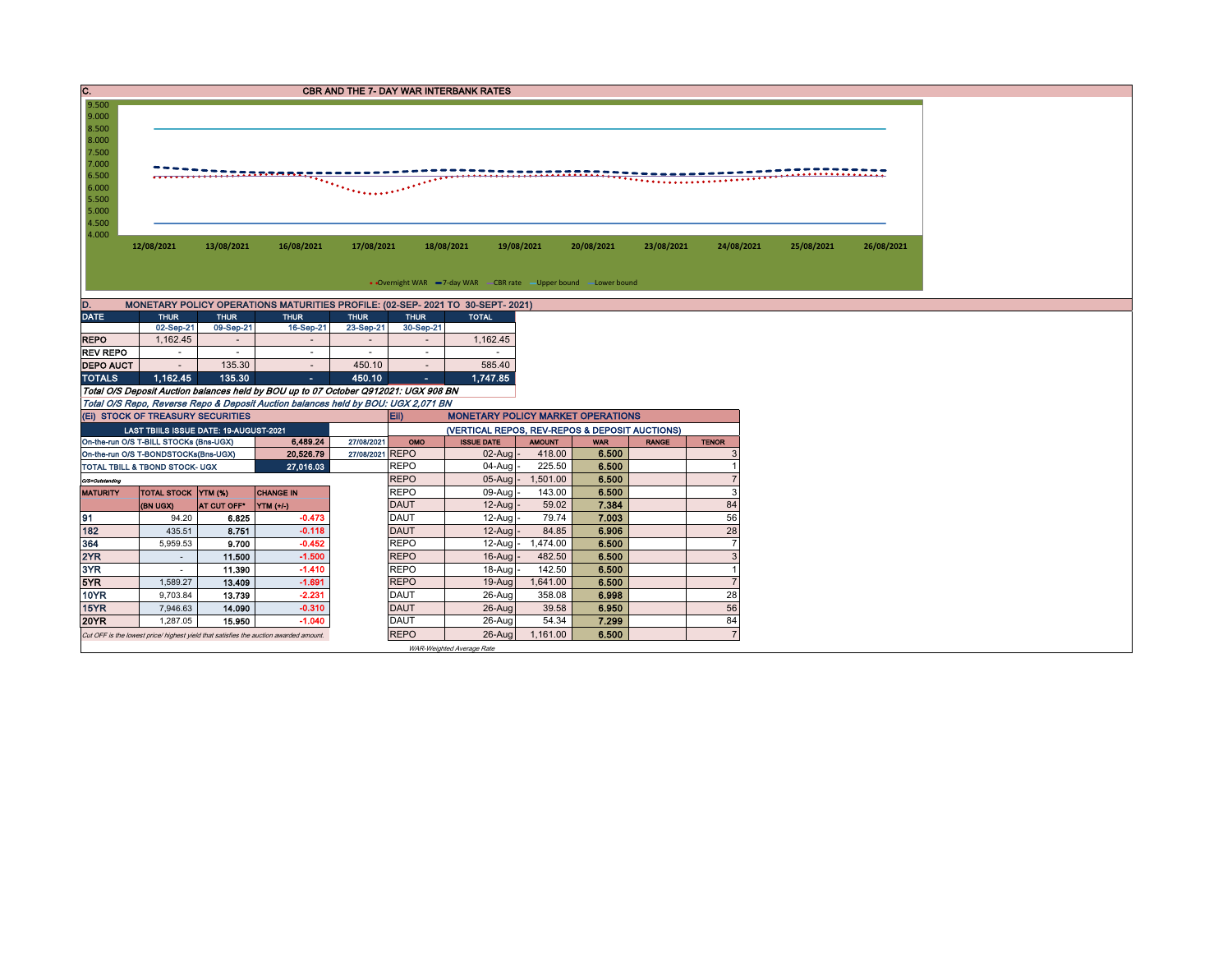| C.                                                                                                                                                                   |                                                                                                            |                         |                                                                                   |                          |                            | <b>CBR AND THE 7- DAY WAR INTERBANK RATES</b>                                  |                 |                |              |                |            |            |  |  |  |
|----------------------------------------------------------------------------------------------------------------------------------------------------------------------|------------------------------------------------------------------------------------------------------------|-------------------------|-----------------------------------------------------------------------------------|--------------------------|----------------------------|--------------------------------------------------------------------------------|-----------------|----------------|--------------|----------------|------------|------------|--|--|--|
| 9.500                                                                                                                                                                |                                                                                                            |                         |                                                                                   |                          |                            |                                                                                |                 |                |              |                |            |            |  |  |  |
| 9.000<br>8.500                                                                                                                                                       |                                                                                                            |                         |                                                                                   |                          |                            |                                                                                |                 |                |              |                |            |            |  |  |  |
| 8.000                                                                                                                                                                |                                                                                                            |                         |                                                                                   |                          |                            |                                                                                |                 |                |              |                |            |            |  |  |  |
| 7.500                                                                                                                                                                |                                                                                                            |                         |                                                                                   |                          |                            |                                                                                |                 |                |              |                |            |            |  |  |  |
| 7.000                                                                                                                                                                | <u> Dooraanaan Sidaan Sidaan Sidaa</u>                                                                     |                         |                                                                                   |                          |                            |                                                                                |                 |                |              |                |            |            |  |  |  |
| 6.500                                                                                                                                                                |                                                                                                            |                         |                                                                                   |                          |                            |                                                                                |                 |                |              |                |            |            |  |  |  |
| 6.000                                                                                                                                                                |                                                                                                            |                         |                                                                                   |                          |                            |                                                                                |                 |                |              |                |            |            |  |  |  |
| 5.500<br>5.000                                                                                                                                                       |                                                                                                            |                         |                                                                                   |                          |                            |                                                                                |                 |                |              |                |            |            |  |  |  |
| 4.500                                                                                                                                                                |                                                                                                            |                         |                                                                                   |                          |                            |                                                                                |                 |                |              |                |            |            |  |  |  |
| 4.000                                                                                                                                                                |                                                                                                            |                         |                                                                                   |                          |                            |                                                                                |                 |                |              |                |            |            |  |  |  |
|                                                                                                                                                                      | 12/08/2021                                                                                                 | 13/08/2021              | 16/08/2021                                                                        | 17/08/2021               |                            | 18/08/2021<br>19/08/2021                                                       |                 | 20/08/2021     | 23/08/2021   | 24/08/2021     | 25/08/2021 | 26/08/2021 |  |  |  |
|                                                                                                                                                                      |                                                                                                            |                         |                                                                                   |                          |                            |                                                                                |                 |                |              |                |            |            |  |  |  |
|                                                                                                                                                                      |                                                                                                            |                         |                                                                                   |                          |                            |                                                                                |                 |                |              |                |            |            |  |  |  |
|                                                                                                                                                                      |                                                                                                            |                         |                                                                                   |                          |                            | • Overnight WAR -7-day WAR - CBR rate -Upper bound -Lower bound                |                 |                |              |                |            |            |  |  |  |
| D.                                                                                                                                                                   |                                                                                                            |                         |                                                                                   |                          |                            | MONETARY POLICY OPERATIONS MATURITIES PROFILE: (02-SEP- 2021 TO 30-SEPT- 2021) |                 |                |              |                |            |            |  |  |  |
| <b>DATE</b>                                                                                                                                                          | <b>THUR</b>                                                                                                | <b>THUR</b>             | <b>THUR</b>                                                                       | <b>THUR</b>              | <b>THUR</b>                | <b>TOTAL</b>                                                                   |                 |                |              |                |            |            |  |  |  |
|                                                                                                                                                                      | 02-Sep-21                                                                                                  | 09-Sep-21               | 16-Sep-21                                                                         | 23-Sep-21                | 30-Sep-21                  |                                                                                |                 |                |              |                |            |            |  |  |  |
| <b>REPO</b>                                                                                                                                                          | 1,162.45                                                                                                   | $\sim$                  | $\overline{\phantom{a}}$                                                          | $\overline{\phantom{a}}$ | $\overline{\phantom{a}}$   | 1,162.45                                                                       |                 |                |              |                |            |            |  |  |  |
| <b>REV REPO</b>                                                                                                                                                      | $\sim$                                                                                                     | $\sim$                  | $\sim$                                                                            | $\sim$                   | $\sim$                     | $\sim$                                                                         |                 |                |              |                |            |            |  |  |  |
| <b>DEPO AUCT</b>                                                                                                                                                     | $\sim$                                                                                                     | 135.30                  | $\sim$                                                                            | 450.10                   | $\sim$                     | 585.40                                                                         |                 |                |              |                |            |            |  |  |  |
| 1.162.45<br>135.30<br><b>TOTALS</b><br>450.10<br>1,747.85<br>$\sim$<br>$\sim$<br>Total O/S Deposit Auction balances held by BOU up to 07 October Q912021: UGX 908 BN |                                                                                                            |                         |                                                                                   |                          |                            |                                                                                |                 |                |              |                |            |            |  |  |  |
|                                                                                                                                                                      |                                                                                                            |                         | Total O/S Repo, Reverse Repo & Deposit Auction balances held by BOU: UGX 2,071 BN |                          |                            |                                                                                |                 |                |              |                |            |            |  |  |  |
|                                                                                                                                                                      | (EI) STOCK OF TREASURY SECURITIES                                                                          |                         |                                                                                   |                          | Eii)                       | <b>MONETARY POLICY MARKET OPERATIONS</b>                                       |                 |                |              |                |            |            |  |  |  |
|                                                                                                                                                                      |                                                                                                            |                         |                                                                                   |                          |                            | (VERTICAL REPOS, REV-REPOS & DEPOSIT AUCTIONS)                                 |                 |                |              |                |            |            |  |  |  |
|                                                                                                                                                                      | LAST TBIILS ISSUE DATE: 19-AUGUST-2021<br>On-the-run O/S T-BILL STOCKs (Bns-UGX)<br>6,489.24<br>27/08/2021 |                         |                                                                                   |                          |                            | <b>ISSUE DATE</b>                                                              | <b>AMOUNT</b>   | <b>WAR</b>     | <b>RANGE</b> | <b>TENOR</b>   |            |            |  |  |  |
|                                                                                                                                                                      | 20,526.79<br>On-the-run O/S T-BONDSTOCKs(Bns-UGX)                                                          |                         |                                                                                   | 27/08/2021 REPO          |                            | $02$ -Aug                                                                      | 418.00          | 6.500          |              |                |            |            |  |  |  |
| 27.016.03<br>TOTAL TBILL & TBOND STOCK- UGX                                                                                                                          |                                                                                                            |                         |                                                                                   | <b>REPO</b>              | $04 - Aug$                 | 225.50                                                                         | 6.500           |                |              |                |            |            |  |  |  |
| O/S=Outstanding                                                                                                                                                      |                                                                                                            |                         |                                                                                   |                          | <b>REPO</b>                | $05-Auq$                                                                       | 1,501.00        | 6.500          |              |                |            |            |  |  |  |
| <b>MATURITY</b>                                                                                                                                                      | <b>TOTAL STOCK YTM (%)</b>                                                                                 |                         | <b>CHANGE IN</b>                                                                  |                          | <b>REPO</b>                | 09-Aug                                                                         | 143.00          | 6.500          |              | 3              |            |            |  |  |  |
|                                                                                                                                                                      | (BN UGX)                                                                                                   | AT CUT OFF <sup>®</sup> | YTM (+/-)                                                                         |                          | <b>DAUT</b>                | $12-Auq$                                                                       | 59.02           | 7.384          |              | 84             |            |            |  |  |  |
| 91                                                                                                                                                                   | 94.20                                                                                                      | 6.825                   | $-0.473$                                                                          |                          | <b>DAUT</b>                | 12-Aug                                                                         | 79.74           | 7.003          |              | 56             |            |            |  |  |  |
| 182                                                                                                                                                                  | 435.51                                                                                                     | 8.751                   | $-0.118$                                                                          |                          | <b>DAUT</b>                | $12 - A u$                                                                     | 84.85           | 6.906          |              | 28             |            |            |  |  |  |
| 364                                                                                                                                                                  | 5,959.53                                                                                                   | 9.700                   | $-0.452$                                                                          |                          | <b>REPO</b>                | 12-Aug                                                                         | 1,474.00        | 6.500          |              | $\overline{7}$ |            |            |  |  |  |
| 2YR                                                                                                                                                                  | $\sim$                                                                                                     | 11.500                  | $-1.500$                                                                          |                          | <b>REPO</b>                | 16-Aug                                                                         | 482.50          | 6.500          |              | 3              |            |            |  |  |  |
| 3YR                                                                                                                                                                  | $\sim$                                                                                                     | 11.390                  | $-1.410$                                                                          |                          | <b>REPO</b>                | 18-Aug                                                                         | 142.50          | 6.500          |              |                |            |            |  |  |  |
| 5YR                                                                                                                                                                  | 1,589.27                                                                                                   | 13.409                  | $-1.691$                                                                          |                          | <b>REPO</b>                | $19-Auq$                                                                       | 1,641.00        | 6.500          |              | $\overline{7}$ |            |            |  |  |  |
| <b>10YR</b><br>15YR                                                                                                                                                  | 9,703.84                                                                                                   | 13.739                  | $-2.231$<br>$-0.310$                                                              |                          | <b>DAUT</b><br><b>DAUT</b> | 26-Aug                                                                         | 358.08<br>39.58 | 6.998<br>6.950 |              | 28             |            |            |  |  |  |
| <b>20YR</b>                                                                                                                                                          | 7,946.63<br>1,287.05                                                                                       | 14.090<br>15.950        | $-1.040$                                                                          |                          | <b>DAUT</b>                | 26-Aug<br>26-Aug                                                               | 54.34           | 7.299          |              | 56<br>84       |            |            |  |  |  |
|                                                                                                                                                                      |                                                                                                            |                         |                                                                                   |                          | <b>REPO</b>                | $26 - A u$                                                                     | 1,161.00        | 6.500          |              | $\overline{7}$ |            |            |  |  |  |
|                                                                                                                                                                      | Cut OFF is the lowest price/ highest yield that satisfies the auction awarded amount.                      |                         |                                                                                   |                          |                            |                                                                                |                 |                |              |                |            |            |  |  |  |
|                                                                                                                                                                      |                                                                                                            |                         |                                                                                   |                          |                            | WAR-Weighted Average Rate                                                      |                 |                |              |                |            |            |  |  |  |